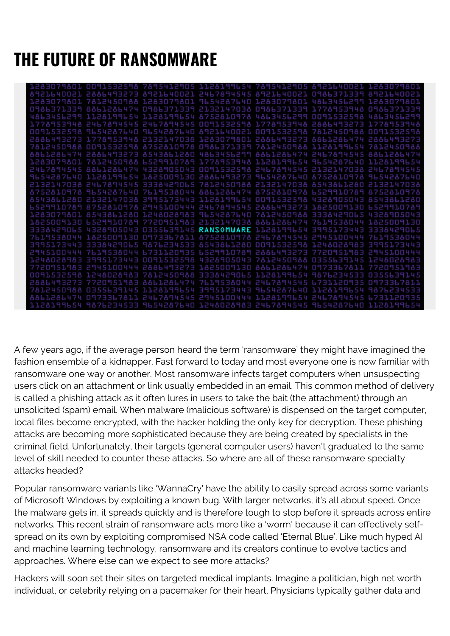## **THE FUTURE OF RANSOMWARE**

| 1283079801<br>0091532598                                          | 7895412905 1128199654 7895412905 8921640021            |                                             |            |                |            |
|-------------------------------------------------------------------|--------------------------------------------------------|---------------------------------------------|------------|----------------|------------|
| 28864<br>93273                                                    | 8921640021 2467894545                                  |                                             | 8921640021 | 日日西日日          |            |
| 1283079801 7812450988 1283079801 9654287640 1283079801 4863456299 |                                                        |                                             |            |                |            |
| O986371339 8861286474 O986371339 2133147038 O986371339 PEEJCRAPO  |                                                        |                                             |            |                |            |
| 4863456299 1128199654 1128199654 8752810978 4863456299 0091532598 |                                                        |                                             |            |                |            |
| E39448 2467894545 2467894545 OD91532598 1778953948 28864493273    |                                                        |                                             |            |                |            |
| 0091532598                                                        | 9654287640 9654287640 8921640021 0091532598 7812450988 |                                             |            |                |            |
| 2886493273                                                        | 1778953948 2132147038 1283079801 2886493273 8861286474 |                                             |            |                | 2886493273 |
| 0091532598<br>7812450988                                          |                                                        | 8752810978 0986371339 7812450988 1128199654 |            |                |            |
| 8861286474 2886493273                                             | 8543861280 4863456299 8861286474 2467894545            |                                             |            |                | 88612864   |
| 7812450988<br>נממפ                                                | 6529910789 1778953948 1128199654                       |                                             |            | 9654287640     |            |
| 2467894545 8861286474 4328905043 0091532598 2467894545 2132147038 |                                                        |                                             |            |                | 2467894545 |
| 7640<br>1128199654                                                | 1825009130 2886493273                                  |                                             | 9654287640 | 87528          |            |
| 2132147038 2467894545 3338429065 7812450988 2132147038 8543861280 |                                                        |                                             |            |                |            |
| 8752810978 9654287640 7619538044 8861286474 8752810978 6529910789 |                                                        |                                             |            |                | 87528109   |
|                                                                   |                                                        |                                             |            |                |            |
| 1910789 8752810978 2945100444 2467894545 2886493273 1825009130    |                                                        |                                             |            |                |            |
| 230129485128881248028983965428764078124509883338429065            |                                                        |                                             |            |                |            |
| 1825009130 6529910789 7720951983 2132147038 8861286474 7619538044 |                                                        |                                             |            |                | ,30        |
| 4328905043<br>9065                                                |                                                        | 0355639145 RANSOMWARE 1128199654            |            | 39951734<br>43 |            |
| 7619538044                                                        | 1825009130 0973367811 8752810978 2467894545 2945100444 |                                             |            |                |            |
| 43<br>3338429065                                                  | 9876234533                                             | AS43AL12AO OO9153259A                       |            | 1. P 4         |            |
| 2945100444 7619538044 6731120935 6529910789 2886493273 7720951983 |                                                        |                                             |            |                | 29451      |
| 3995173443<br>日日昌司                                                |                                                        | 009153258 4328905043 7812450988 0355631145  |            |                |            |
| 7720951983                                                        | 2945100444 2886493273 1825009130 8861286474 0973367811 |                                             |            |                |            |
| 1248028983<br>0091532598                                          | 7812450988 3338429065 1128199654 9876234533            |                                             |            |                |            |
| <b>HERRE</b>                                                      | 7720951983 8861286474 7619538044 2467894545 6731120    |                                             |            | <b>HHL</b>     |            |
| 50988                                                             | 0355639145 1128199654 3995173443 9654287640 1128199654 |                                             |            |                | 533        |
| 8861286474<br>0973367811                                          |                                                        | 2467894545 2945100444 1128199654 24678      |            |                |            |
| 1128199654 9876234533 9654287640 1248028983 2467894545 9654287640 |                                                        |                                             |            |                | 1128199654 |

A few years ago, if the average person heard the term 'ransomware' they might have imagined the fashion ensemble of a kidnapper. Fast forward to today and most everyone one is now familiar with ransomware one way or another. Most ransomware infects target computers when unsuspecting users click on an attachment or link usually embedded in an email. This common method of delivery is called a phishing attack as it often lures in users to take the bait (the attachment) through an unsolicited (spam) email. When malware (malicious software) is dispensed on the target computer, local files become encrypted, with the hacker holding the only key for decryption. These phishing attacks are becoming more sophisticated because they are being created by specialists in the criminal field. Unfortunately, their targets (general computer users) haven't graduated to the same level of skill needed to counter these attacks. So where are all of these ransomware specialty attacks headed?

Popular ransomware variants like 'WannaCry' have the ability to easily spread across some variants of Microsoft Windows by exploiting a known bug. With larger networks, it's all about speed. Once the malware gets in, it spreads quickly and is therefore tough to stop before it spreads across entire networks. This recent strain of ransomware acts more like a 'worm' because it can effectively selfspread on its own by exploiting compromised NSA code called 'Eternal Blue'. Like much hyped AI and machine learning technology, ransomware and its creators continue to evolve tactics and approaches. Where else can we expect to see more attacks?

Hackers will soon set their sites on targeted medical implants. Imagine a politician, high net worth individual, or celebrity relying on a pacemaker for their heart. Physicians typically gather data and